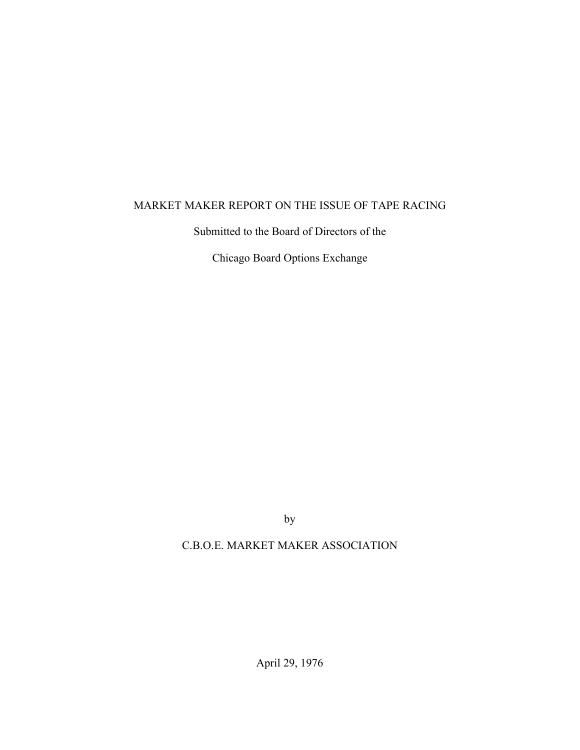# MARKET MAKER REPORT ON THE ISSUE OF TAPE RACING

Submitted to the Board of Directors of the

Chicago Board Options Exchange

by

## C.B.O.E. MARKET MAKER ASSOCIATION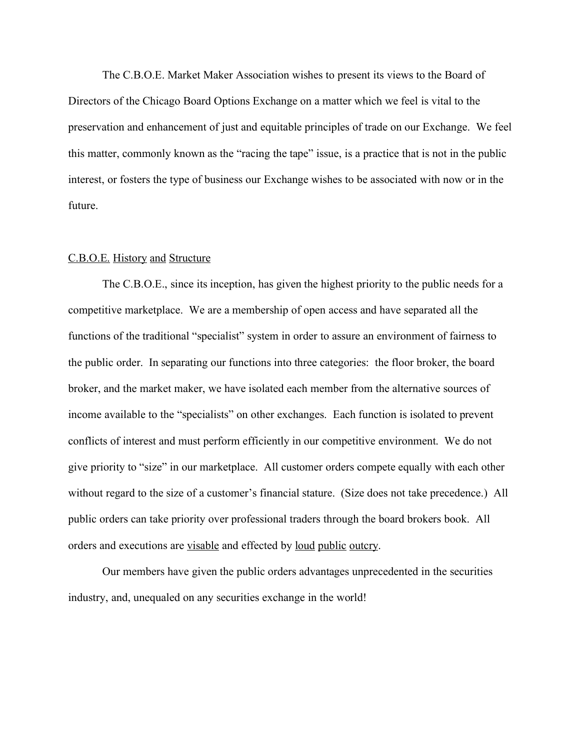The C.B.O.E. Market Maker Association wishes to present its views to the Board of Directors of the Chicago Board Options Exchange on a matter which we feel is vital to the preservation and enhancement of just and equitable principles of trade on our Exchange. We feel this matter, commonly known as the "racing the tape" issue, is a practice that is not in the public interest, or fosters the type of business our Exchange wishes to be associated with now or in the future.

#### C.B.O.E. History and Structure

The C.B.O.E., since its inception, has given the highest priority to the public needs for a competitive marketplace. We are a membership of open access and have separated all the functions of the traditional "specialist" system in order to assure an environment of fairness to the public order. In separating our functions into three categories: the floor broker, the board broker, and the market maker, we have isolated each member from the alternative sources of income available to the "specialists" on other exchanges. Each function is isolated to prevent conflicts of interest and must perform efficiently in our competitive environment. We do not give priority to "size" in our marketplace. All customer orders compete equally with each other without regard to the size of a customer's financial stature. (Size does not take precedence.) All public orders can take priority over professional traders through the board brokers book. All orders and executions are visable and effected by loud public outcry.

Our members have given the public orders advantages unprecedented in the securities industry, and, unequaled on any securities exchange in the world!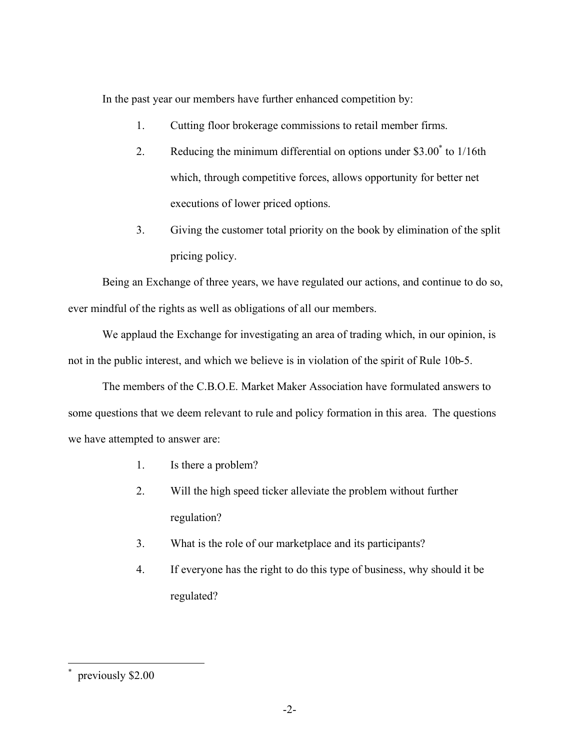In the past year our members have further enhanced competition by:

- 1. Cutting floor brokerage commissions to retail member firms.
- 2. Reducing the minimum differential on options under \$3.00<sup>\*</sup> to 1/16th which, through competitive forces, allows opportunity for better net executions of lower priced options.
- 3. Giving the customer total priority on the book by elimination of the split pricing policy.

Being an Exchange of three years, we have regulated our actions, and continue to do so, ever mindful of the rights as well as obligations of all our members.

We applaud the Exchange for investigating an area of trading which, in our opinion, is not in the public interest, and which we believe is in violation of the spirit of Rule 10b-5.

The members of the C.B.O.E. Market Maker Association have formulated answers to some questions that we deem relevant to rule and policy formation in this area. The questions we have attempted to answer are:

- 1. Is there a problem?
- 2. Will the high speed ticker alleviate the problem without further regulation?
- 3. What is the role of our marketplace and its participants?
- 4. If everyone has the right to do this type of business, why should it be regulated?

\*

previously \$2.00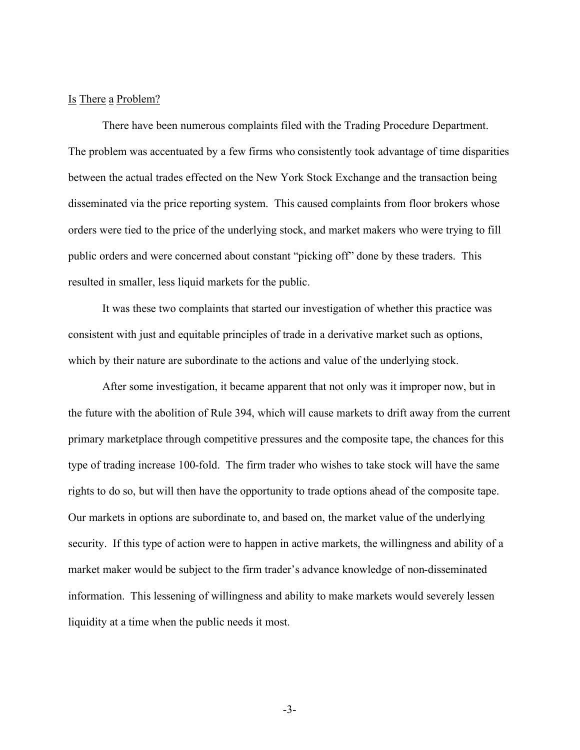### Is There a Problem?

There have been numerous complaints filed with the Trading Procedure Department. The problem was accentuated by a few firms who consistently took advantage of time disparities between the actual trades effected on the New York Stock Exchange and the transaction being disseminated via the price reporting system. This caused complaints from floor brokers whose orders were tied to the price of the underlying stock, and market makers who were trying to fill public orders and were concerned about constant "picking off" done by these traders. This resulted in smaller, less liquid markets for the public.

It was these two complaints that started our investigation of whether this practice was consistent with just and equitable principles of trade in a derivative market such as options, which by their nature are subordinate to the actions and value of the underlying stock.

After some investigation, it became apparent that not only was it improper now, but in the future with the abolition of Rule 394, which will cause markets to drift away from the current primary marketplace through competitive pressures and the composite tape, the chances for this type of trading increase 100-fold. The firm trader who wishes to take stock will have the same rights to do so, but will then have the opportunity to trade options ahead of the composite tape. Our markets in options are subordinate to, and based on, the market value of the underlying security. If this type of action were to happen in active markets, the willingness and ability of a market maker would be subject to the firm trader's advance knowledge of non-disseminated information. This lessening of willingness and ability to make markets would severely lessen liquidity at a time when the public needs it most.

-3-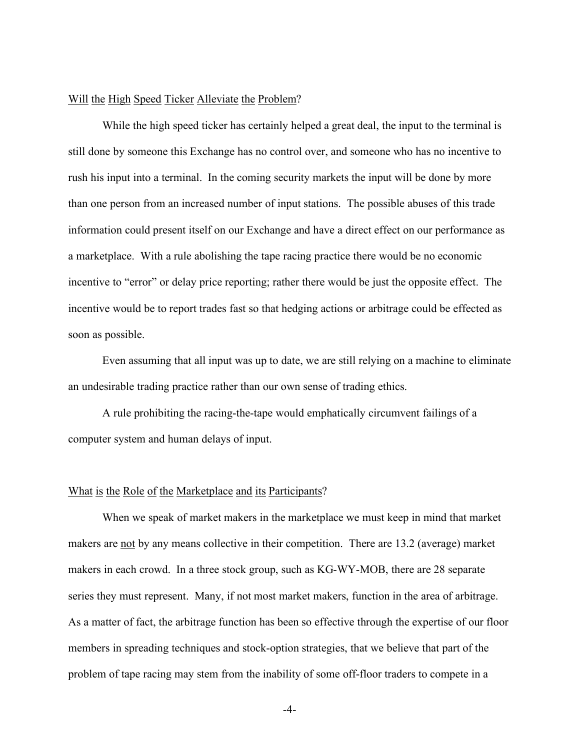### Will the High Speed Ticker Alleviate the Problem?

While the high speed ticker has certainly helped a great deal, the input to the terminal is still done by someone this Exchange has no control over, and someone who has no incentive to rush his input into a terminal. In the coming security markets the input will be done by more than one person from an increased number of input stations. The possible abuses of this trade information could present itself on our Exchange and have a direct effect on our performance as a marketplace. With a rule abolishing the tape racing practice there would be no economic incentive to "error" or delay price reporting; rather there would be just the opposite effect. The incentive would be to report trades fast so that hedging actions or arbitrage could be effected as soon as possible.

Even assuming that all input was up to date, we are still relying on a machine to eliminate an undesirable trading practice rather than our own sense of trading ethics.

A rule prohibiting the racing-the-tape would emphatically circumvent failings of a computer system and human delays of input.

#### What is the Role of the Marketplace and its Participants?

When we speak of market makers in the marketplace we must keep in mind that market makers are not by any means collective in their competition. There are 13.2 (average) market makers in each crowd. In a three stock group, such as KG-WY-MOB, there are 28 separate series they must represent. Many, if not most market makers, function in the area of arbitrage. As a matter of fact, the arbitrage function has been so effective through the expertise of our floor members in spreading techniques and stock-option strategies, that we believe that part of the problem of tape racing may stem from the inability of some off-floor traders to compete in a

-4-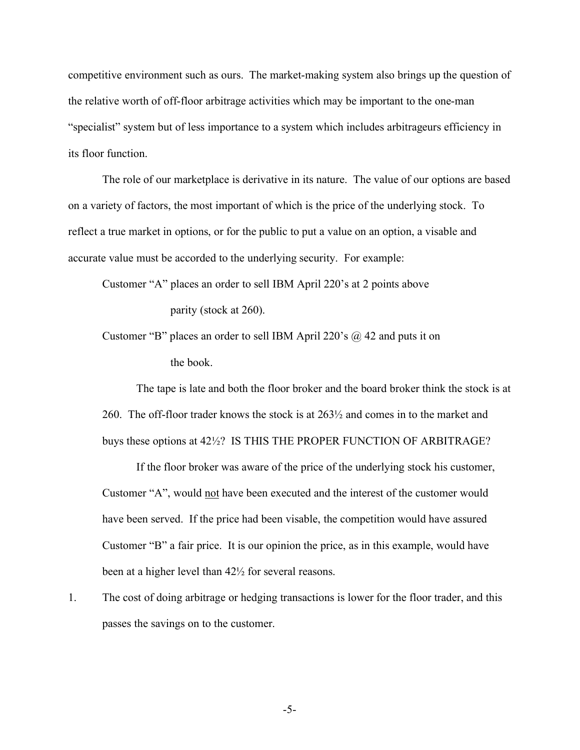competitive environment such as ours. The market-making system also brings up the question of the relative worth of off-floor arbitrage activities which may be important to the one-man "specialist" system but of less importance to a system which includes arbitrageurs efficiency in its floor function.

The role of our marketplace is derivative in its nature. The value of our options are based on a variety of factors, the most important of which is the price of the underlying stock. To reflect a true market in options, or for the public to put a value on an option, a visable and accurate value must be accorded to the underlying security. For example:

Customer "A" places an order to sell IBM April 220's at 2 points above parity (stock at 260).

Customer "B" places an order to sell IBM April 220's  $\omega$  42 and puts it on the book.

The tape is late and both the floor broker and the board broker think the stock is at 260. The off-floor trader knows the stock is at 263½ and comes in to the market and buys these options at 42½? IS THIS THE PROPER FUNCTION OF ARBITRAGE?

If the floor broker was aware of the price of the underlying stock his customer, Customer "A", would not have been executed and the interest of the customer would have been served. If the price had been visable, the competition would have assured Customer "B" a fair price. It is our opinion the price, as in this example, would have been at a higher level than 42½ for several reasons.

1. The cost of doing arbitrage or hedging transactions is lower for the floor trader, and this passes the savings on to the customer.

-5-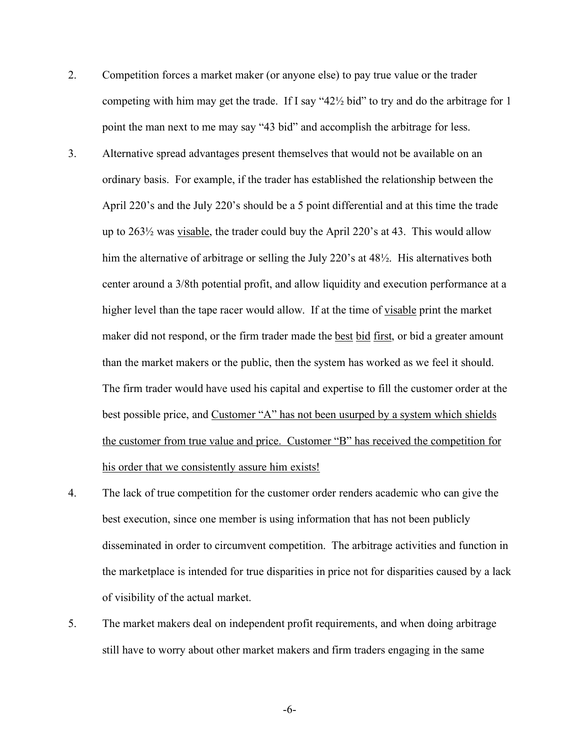- 2. Competition forces a market maker (or anyone else) to pay true value or the trader competing with him may get the trade. If I say "42½ bid" to try and do the arbitrage for 1 point the man next to me may say "43 bid" and accomplish the arbitrage for less.
- 3. Alternative spread advantages present themselves that would not be available on an ordinary basis. For example, if the trader has established the relationship between the April 220's and the July 220's should be a 5 point differential and at this time the trade up to 263½ was visable, the trader could buy the April 220's at 43. This would allow him the alternative of arbitrage or selling the July 220's at 48<sup>1</sup>/<sub>2</sub>. His alternatives both center around a 3/8th potential profit, and allow liquidity and execution performance at a higher level than the tape racer would allow. If at the time of visable print the market maker did not respond, or the firm trader made the best bid first, or bid a greater amount than the market makers or the public, then the system has worked as we feel it should. The firm trader would have used his capital and expertise to fill the customer order at the best possible price, and Customer "A" has not been usurped by a system which shields the customer from true value and price. Customer "B" has received the competition for his order that we consistently assure him exists!
- 4. The lack of true competition for the customer order renders academic who can give the best execution, since one member is using information that has not been publicly disseminated in order to circumvent competition. The arbitrage activities and function in the marketplace is intended for true disparities in price not for disparities caused by a lack of visibility of the actual market.
- 5. The market makers deal on independent profit requirements, and when doing arbitrage still have to worry about other market makers and firm traders engaging in the same

-6-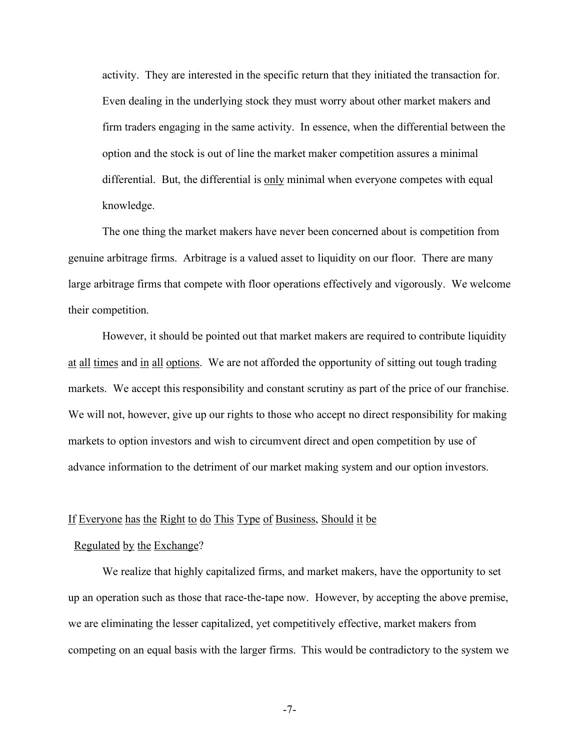activity. They are interested in the specific return that they initiated the transaction for. Even dealing in the underlying stock they must worry about other market makers and firm traders engaging in the same activity. In essence, when the differential between the option and the stock is out of line the market maker competition assures a minimal differential. But, the differential is only minimal when everyone competes with equal knowledge.

The one thing the market makers have never been concerned about is competition from genuine arbitrage firms. Arbitrage is a valued asset to liquidity on our floor. There are many large arbitrage firms that compete with floor operations effectively and vigorously. We welcome their competition.

However, it should be pointed out that market makers are required to contribute liquidity at all times and in all options. We are not afforded the opportunity of sitting out tough trading markets. We accept this responsibility and constant scrutiny as part of the price of our franchise. We will not, however, give up our rights to those who accept no direct responsibility for making markets to option investors and wish to circumvent direct and open competition by use of advance information to the detriment of our market making system and our option investors.

### If Everyone has the Right to do This Type of Business, Should it be

#### Regulated by the Exchange?

We realize that highly capitalized firms, and market makers, have the opportunity to set up an operation such as those that race-the-tape now. However, by accepting the above premise, we are eliminating the lesser capitalized, yet competitively effective, market makers from competing on an equal basis with the larger firms. This would be contradictory to the system we

-7-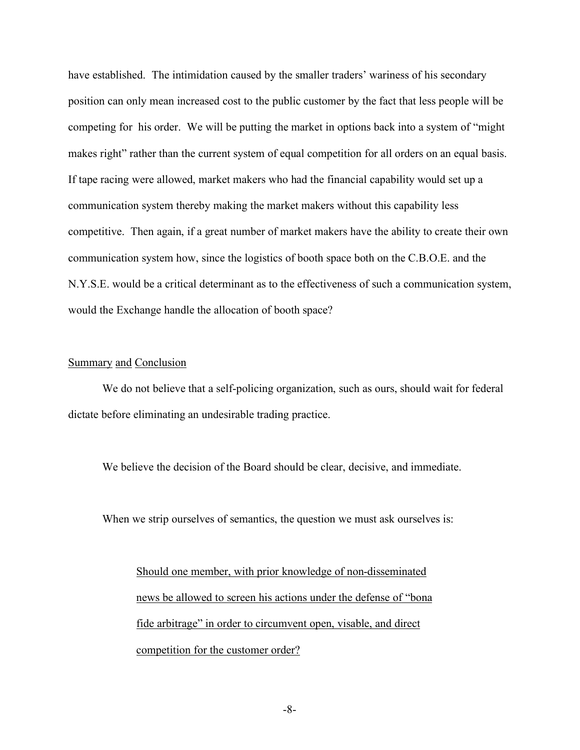have established. The intimidation caused by the smaller traders' wariness of his secondary position can only mean increased cost to the public customer by the fact that less people will be competing for his order. We will be putting the market in options back into a system of "might makes right" rather than the current system of equal competition for all orders on an equal basis. If tape racing were allowed, market makers who had the financial capability would set up a communication system thereby making the market makers without this capability less competitive. Then again, if a great number of market makers have the ability to create their own communication system how, since the logistics of booth space both on the C.B.O.E. and the N.Y.S.E. would be a critical determinant as to the effectiveness of such a communication system, would the Exchange handle the allocation of booth space?

### Summary and Conclusion

We do not believe that a self-policing organization, such as ours, should wait for federal dictate before eliminating an undesirable trading practice.

We believe the decision of the Board should be clear, decisive, and immediate.

When we strip ourselves of semantics, the question we must ask ourselves is:

Should one member, with prior knowledge of non-disseminated news be allowed to screen his actions under the defense of "bona fide arbitrage" in order to circumvent open, visable, and direct competition for the customer order?